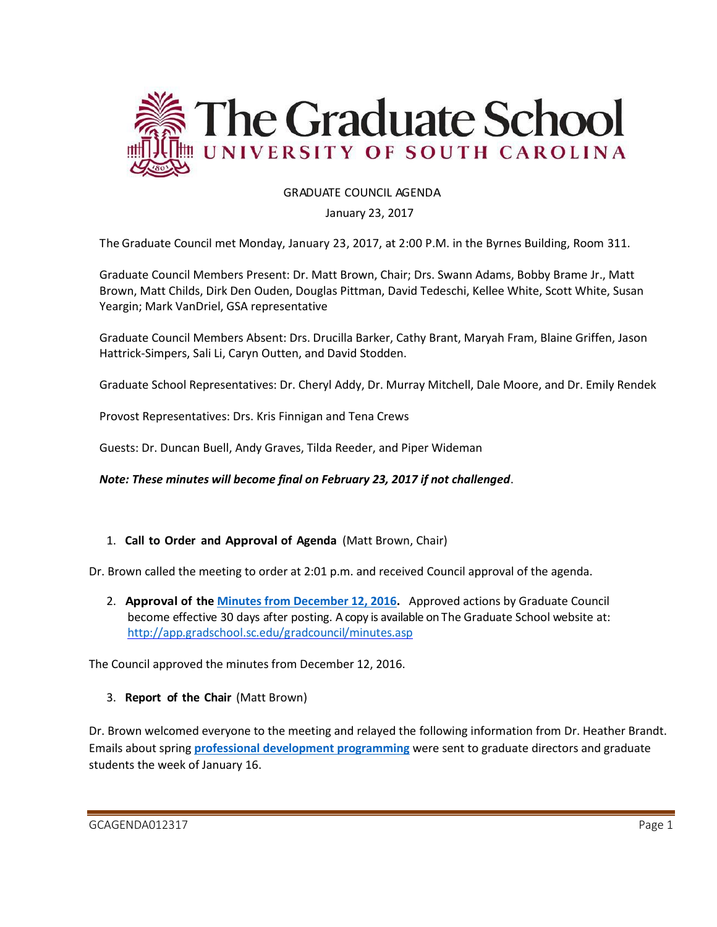

## GRADUATE COUNCIL AGENDA

#### January 23, 2017

The Graduate Council met Monday, January 23, 2017, at 2:00 P.M. in the Byrnes Building, Room 311.

Graduate Council Members Present: Dr. Matt Brown, Chair; Drs. Swann Adams, Bobby Brame Jr., Matt Brown, Matt Childs, Dirk Den Ouden, Douglas Pittman, David Tedeschi, Kellee White, Scott White, Susan Yeargin; Mark VanDriel, GSA representative

Graduate Council Members Absent: Drs. Drucilla Barker, Cathy Brant, Maryah Fram, Blaine Griffen, Jason Hattrick-Simpers, Sali Li, Caryn Outten, and David Stodden.

Graduate School Representatives: Dr. Cheryl Addy, Dr. Murray Mitchell, Dale Moore, and Dr. Emily Rendek

Provost Representatives: Drs. Kris Finnigan and Tena Crews

Guests: Dr. Duncan Buell, Andy Graves, Tilda Reeder, and Piper Wideman

*Note: These minutes will become final on February 23, 2017 if not challenged*.

### 1. **Call to Order and Approval of Agenda** (Matt Brown, Chair)

Dr. Brown called the meeting to order at 2:01 p.m. and received Council approval of the agenda.

2. **Approval of the [Minutes from December 12, 2016.](http://gradschool.sc.edu/facstaff/gradcouncil/2016/GCMINUTES%2012.12.16.pdf)** Approved actions by Graduate Council become effective 30 days after posting. A copy is available on The Graduate School website at: <http://app.gradschool.sc.edu/gradcouncil/minutes.asp>

The Council approved the minutes from December 12, 2016.

3. **Report of the Chair** (Matt Brown)

Dr. Brown welcomed everyone to the meeting and relayed the following information from Dr. Heather Brandt. Emails about spring **[professional development programming](http://bit.ly/2kM57Tc)** were sent to graduate directors and graduate students the week of January 16.

GCAGENDA012317 Page 1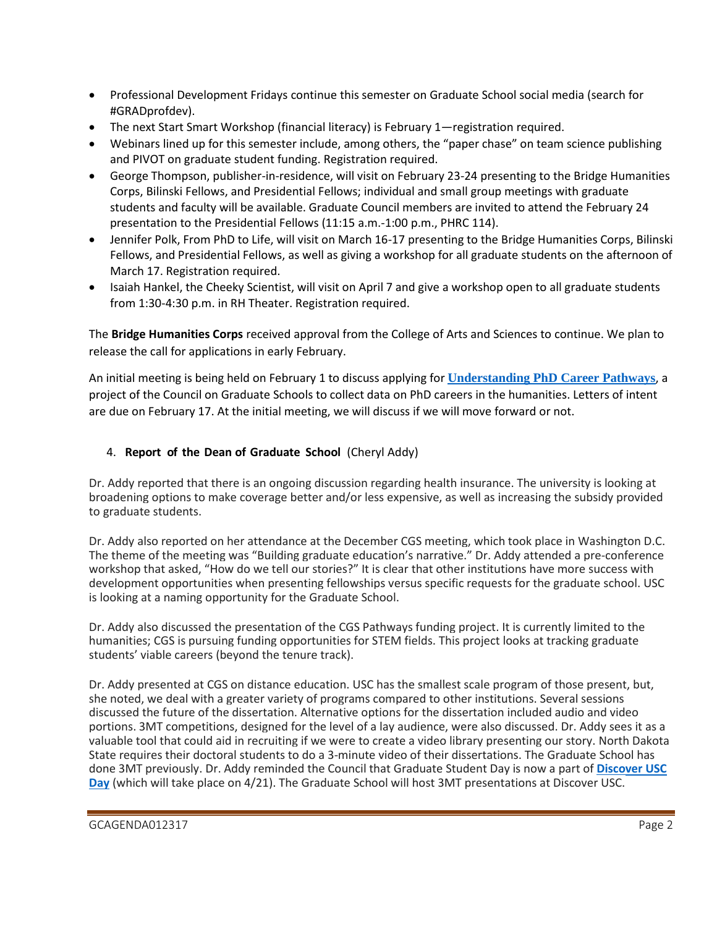- Professional Development Fridays continue this semester on Graduate School social media (search for #GRADprofdev).
- The next Start Smart Workshop (financial literacy) is February 1—registration required.
- Webinars lined up for this semester include, among others, the "paper chase" on team science publishing and PIVOT on graduate student funding. Registration required.
- George Thompson, publisher-in-residence, will visit on February 23-24 presenting to the Bridge Humanities Corps, Bilinski Fellows, and Presidential Fellows; individual and small group meetings with graduate students and faculty will be available. Graduate Council members are invited to attend the February 24 presentation to the Presidential Fellows (11:15 a.m.-1:00 p.m., PHRC 114).
- Jennifer Polk, From PhD to Life, will visit on March 16-17 presenting to the Bridge Humanities Corps, Bilinski Fellows, and Presidential Fellows, as well as giving a workshop for all graduate students on the afternoon of March 17. Registration required.
- Isaiah Hankel, the Cheeky Scientist, will visit on April 7 and give a workshop open to all graduate students from 1:30-4:30 p.m. in RH Theater. Registration required.

The **Bridge Humanities Corps** received approval from the College of Arts and Sciences to continue. We plan to release the call for applications in early February.

An initial meeting is being held on February 1 to discuss applying for **[Understanding PhD Career Pathways](http://cgsnet.org/join-cgs%E2%80%99s-effort-understand-phd-career-pathways)**, a project of the Council on Graduate Schools to collect data on PhD careers in the humanities. Letters of intent are due on February 17. At the initial meeting, we will discuss if we will move forward or not.

## 4. **Report of the Dean of Graduate School** (Cheryl Addy)

Dr. Addy reported that there is an ongoing discussion regarding health insurance. The university is looking at broadening options to make coverage better and/or less expensive, as well as increasing the subsidy provided to graduate students.

Dr. Addy also reported on her attendance at the December CGS meeting, which took place in Washington D.C. The theme of the meeting was "Building graduate education's narrative." Dr. Addy attended a pre-conference workshop that asked, "How do we tell our stories?" It is clear that other institutions have more success with development opportunities when presenting fellowships versus specific requests for the graduate school. USC is looking at a naming opportunity for the Graduate School.

Dr. Addy also discussed the presentation of the CGS Pathways funding project. It is currently limited to the humanities; CGS is pursuing funding opportunities for STEM fields. This project looks at tracking graduate students' viable careers (beyond the tenure track).

Dr. Addy presented at CGS on distance education. USC has the smallest scale program of those present, but, she noted, we deal with a greater variety of programs compared to other institutions. Several sessions discussed the future of the dissertation. Alternative options for the dissertation included audio and video portions. 3MT competitions, designed for the level of a lay audience, were also discussed. Dr. Addy sees it as a valuable tool that could aid in recruiting if we were to create a video library presenting our story. North Dakota State requires their doctoral students to do a 3-minute video of their dissertations. The Graduate School has done 3MT previously. Dr. Addy reminded the Council that Graduate Student Day is now a part of **[Discover USC](http://www.sc.edu/about/annual_events/discover/usc/index.php)  [Day](http://www.sc.edu/about/annual_events/discover/usc/index.php)** (which will take place on 4/21). The Graduate School will host 3MT presentations at Discover USC.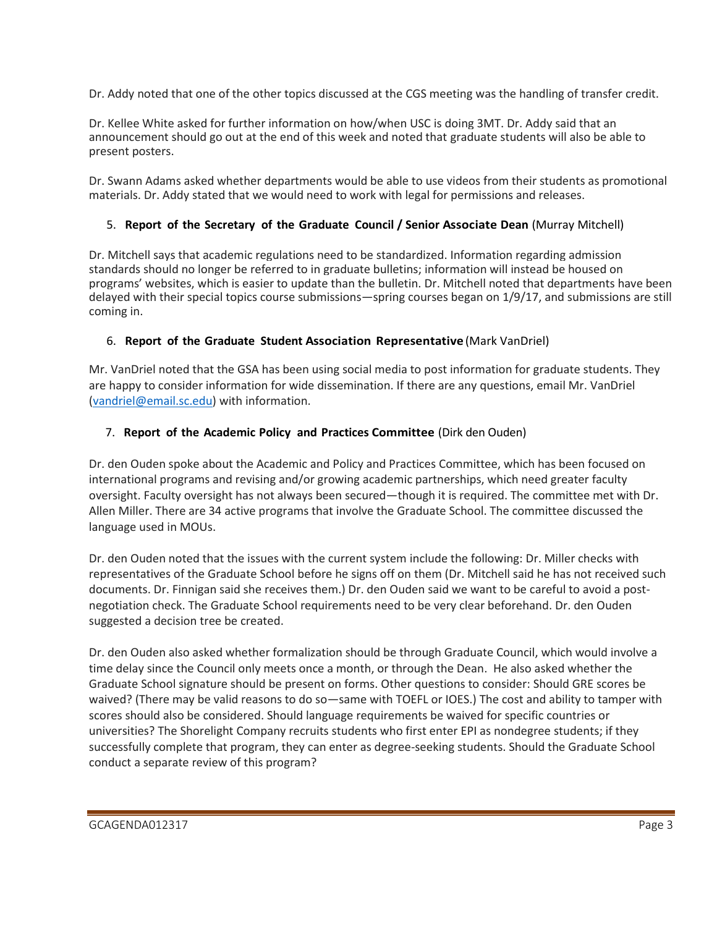Dr. Addy noted that one of the other topics discussed at the CGS meeting was the handling of transfer credit.

Dr. Kellee White asked for further information on how/when USC is doing 3MT. Dr. Addy said that an announcement should go out at the end of this week and noted that graduate students will also be able to present posters.

Dr. Swann Adams asked whether departments would be able to use videos from their students as promotional materials. Dr. Addy stated that we would need to work with legal for permissions and releases.

## 5. **Report of the Secretary of the Graduate Council / Senior Associate Dean** (Murray Mitchell)

Dr. Mitchell says that academic regulations need to be standardized. Information regarding admission standards should no longer be referred to in graduate bulletins; information will instead be housed on programs' websites, which is easier to update than the bulletin. Dr. Mitchell noted that departments have been delayed with their special topics course submissions—spring courses began on 1/9/17, and submissions are still coming in.

## 6. **Report of the Graduate Student Association Representative** (Mark VanDriel)

Mr. VanDriel noted that the GSA has been using social media to post information for graduate students. They are happy to consider information for wide dissemination. If there are any questions, email Mr. VanDriel [\(vandriel@email.sc.edu\)](mailto:vandriel@email.sc.edu) with information.

## 7. **Report of the Academic Policy and Practices Committee** (Dirk den Ouden)

Dr. den Ouden spoke about the Academic and Policy and Practices Committee, which has been focused on international programs and revising and/or growing academic partnerships, which need greater faculty oversight. Faculty oversight has not always been secured—though it is required. The committee met with Dr. Allen Miller. There are 34 active programs that involve the Graduate School. The committee discussed the language used in MOUs.

Dr. den Ouden noted that the issues with the current system include the following: Dr. Miller checks with representatives of the Graduate School before he signs off on them (Dr. Mitchell said he has not received such documents. Dr. Finnigan said she receives them.) Dr. den Ouden said we want to be careful to avoid a postnegotiation check. The Graduate School requirements need to be very clear beforehand. Dr. den Ouden suggested a decision tree be created.

Dr. den Ouden also asked whether formalization should be through Graduate Council, which would involve a time delay since the Council only meets once a month, or through the Dean. He also asked whether the Graduate School signature should be present on forms. Other questions to consider: Should GRE scores be waived? (There may be valid reasons to do so—same with TOEFL or IOES.) The cost and ability to tamper with scores should also be considered. Should language requirements be waived for specific countries or universities? The Shorelight Company recruits students who first enter EPI as nondegree students; if they successfully complete that program, they can enter as degree-seeking students. Should the Graduate School conduct a separate review of this program?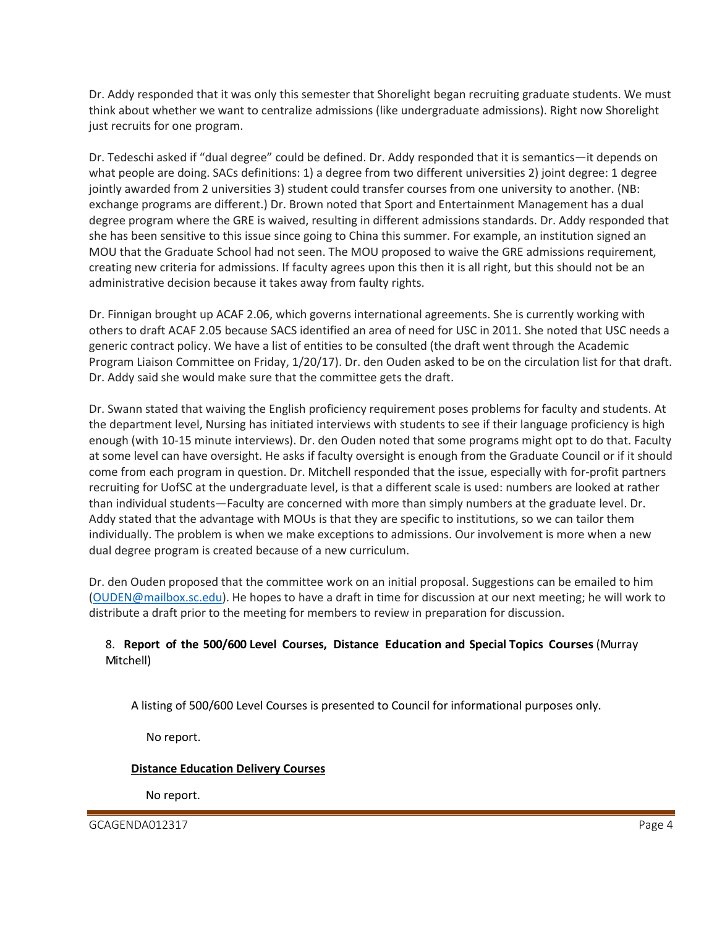Dr. Addy responded that it was only this semester that Shorelight began recruiting graduate students. We must think about whether we want to centralize admissions (like undergraduate admissions). Right now Shorelight just recruits for one program.

Dr. Tedeschi asked if "dual degree" could be defined. Dr. Addy responded that it is semantics—it depends on what people are doing. SACs definitions: 1) a degree from two different universities 2) joint degree: 1 degree jointly awarded from 2 universities 3) student could transfer courses from one university to another. (NB: exchange programs are different.) Dr. Brown noted that Sport and Entertainment Management has a dual degree program where the GRE is waived, resulting in different admissions standards. Dr. Addy responded that she has been sensitive to this issue since going to China this summer. For example, an institution signed an MOU that the Graduate School had not seen. The MOU proposed to waive the GRE admissions requirement, creating new criteria for admissions. If faculty agrees upon this then it is all right, but this should not be an administrative decision because it takes away from faulty rights.

Dr. Finnigan brought up ACAF 2.06, which governs international agreements. She is currently working with others to draft ACAF 2.05 because SACS identified an area of need for USC in 2011. She noted that USC needs a generic contract policy. We have a list of entities to be consulted (the draft went through the Academic Program Liaison Committee on Friday, 1/20/17). Dr. den Ouden asked to be on the circulation list for that draft. Dr. Addy said she would make sure that the committee gets the draft.

Dr. Swann stated that waiving the English proficiency requirement poses problems for faculty and students. At the department level, Nursing has initiated interviews with students to see if their language proficiency is high enough (with 10-15 minute interviews). Dr. den Ouden noted that some programs might opt to do that. Faculty at some level can have oversight. He asks if faculty oversight is enough from the Graduate Council or if it should come from each program in question. Dr. Mitchell responded that the issue, especially with for-profit partners recruiting for UofSC at the undergraduate level, is that a different scale is used: numbers are looked at rather than individual students—Faculty are concerned with more than simply numbers at the graduate level. Dr. Addy stated that the advantage with MOUs is that they are specific to institutions, so we can tailor them individually. The problem is when we make exceptions to admissions. Our involvement is more when a new dual degree program is created because of a new curriculum.

Dr. den Ouden proposed that the committee work on an initial proposal. Suggestions can be emailed to him [\(OUDEN@mailbox.sc.edu\)](mailto:OUDEN@mailbox.sc.edu). He hopes to have a draft in time for discussion at our next meeting; he will work to distribute a draft prior to the meeting for members to review in preparation for discussion.

### 8. **Report of the 500/600 Level Courses, Distance Education and Special Topics Courses** (Murray Mitchell)

A listing of 500/600 Level Courses is presented to Council for informational purposes only.

No report.

#### **Distance Education Delivery Courses**

No report.

GCAGENDA012317 Page 4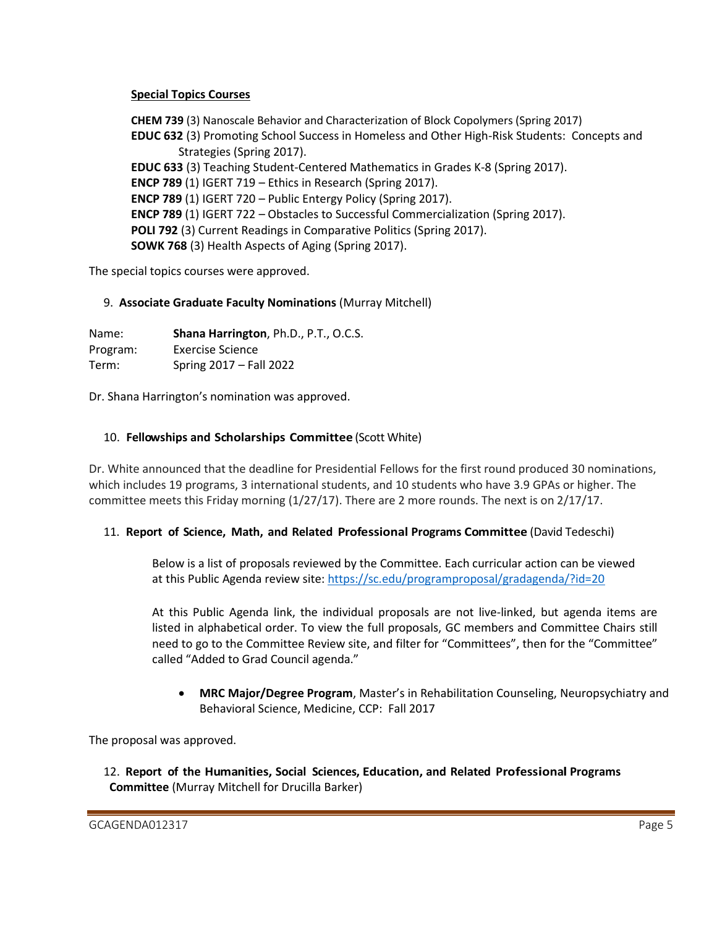## **Special Topics Courses**

**CHEM 739** (3) Nanoscale Behavior and Characterization of Block Copolymers (Spring 2017) **EDUC 632** (3) Promoting School Success in Homeless and Other High-Risk Students: Concepts and Strategies (Spring 2017). **EDUC 633** (3) Teaching Student-Centered Mathematics in Grades K-8 (Spring 2017). **ENCP 789** (1) IGERT 719 – Ethics in Research (Spring 2017). **ENCP 789** (1) IGERT 720 – Public Entergy Policy (Spring 2017). **ENCP 789** (1) IGERT 722 – Obstacles to Successful Commercialization (Spring 2017). **POLI 792** (3) Current Readings in Comparative Politics (Spring 2017). **SOWK 768** (3) Health Aspects of Aging (Spring 2017).

The special topics courses were approved.

# 9. **Associate Graduate Faculty Nominations** (Murray Mitchell)

Name: **Shana Harrington**, Ph.D., P.T., O.C.S. Program: Exercise Science Term: Spring 2017 – Fall 2022

Dr. Shana Harrington's nomination was approved.

### 10. **Fellowships and Scholarships Committee** (Scott White)

Dr. White announced that the deadline for Presidential Fellows for the first round produced 30 nominations, which includes 19 programs, 3 international students, and 10 students who have 3.9 GPAs or higher. The committee meets this Friday morning (1/27/17). There are 2 more rounds. The next is on 2/17/17.

### 11. **Report of Science, Math, and Related Professional Programs Committee** (David Tedeschi)

Below is a list of proposals reviewed by the Committee. Each curricular action can be viewed at this Public Agenda review site: <https://sc.edu/programproposal/gradagenda/?id=20>

At this Public Agenda link, the individual proposals are not live-linked, but agenda items are listed in alphabetical order. To view the full proposals, GC members and Committee Chairs still need to go to the Committee Review site, and filter for "Committees", then for the "Committee" called "Added to Grad Council agenda."

 **MRC Major/Degree Program**, Master's in Rehabilitation Counseling, Neuropsychiatry and Behavioral Science, Medicine, CCP: Fall 2017

The proposal was approved.

 12. **Report of the Humanities, Social Sciences, Education, and Related Professional Programs Committee** (Murray Mitchell for Drucilla Barker)